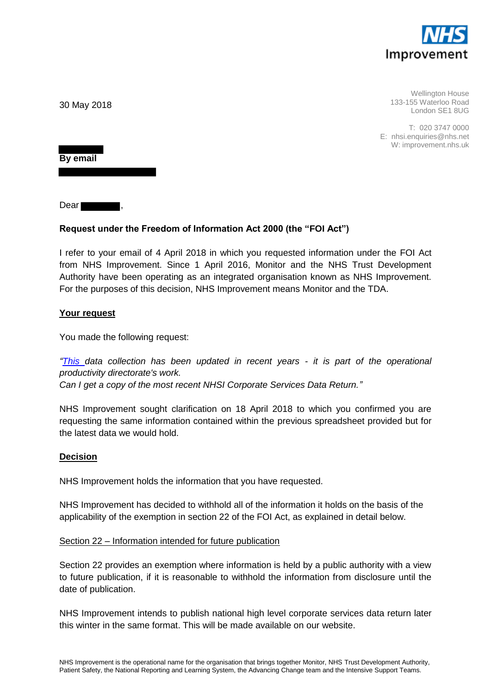

Wellington House 133-155 Waterloo Road London SE1 8UG

T: 020 3747 0000 E: nhsi.enquiries@nhs.net W: improvement.nhs.uk

30 May 2018

**By email** 

Dear

# **Request under the Freedom of Information Act 2000 (the "FOI Act")**

I refer to your email of 4 April 2018 in which you requested information under the FOI Act from NHS Improvement. Since 1 April 2016, Monitor and the NHS Trust Development Authority have been operating as an integrated organisation known as NHS Improvement. For the purposes of this decision, NHS Improvement means Monitor and the TDA.

# **Your request**

You made the following request:

*["This d](https://improvement.nhs.uk/about-us/corporate-publications/publications/foi-corporate-services-benchmarking-report-data/)ata collection has been updated in recent years - it is part of the operational productivity directorate's work. Can I get a copy of the most recent NHSI Corporate Services Data Return."*

NHS Improvement sought clarification on 18 April 2018 to which you confirmed you are requesting the same information contained within the previous spreadsheet provided but for the latest data we would hold.

#### **Decision**

NHS Improvement holds the information that you have requested.

NHS Improvement has decided to withhold all of the information it holds on the basis of the applicability of the exemption in section 22 of the FOI Act, as explained in detail below.

#### Section 22 – Information intended for future publication

Section 22 provides an exemption where information is held by a public authority with a view to future publication, if it is reasonable to withhold the information from disclosure until the date of publication.

NHS Improvement intends to publish national high level corporate services data return later this winter in the same format. This will be made available on our website.